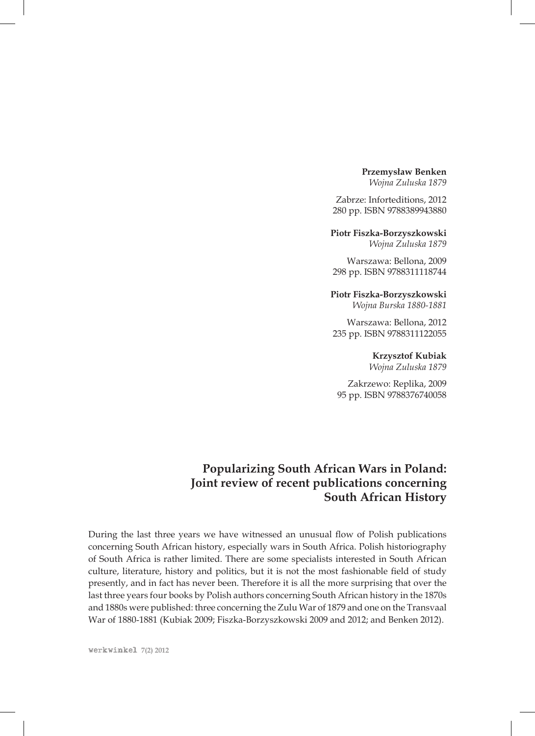## **Przemysław Benken**

*Wojna Zuluska 1879*

Zabrze: Inforteditions, 2012 280 pp. ISBN 9788389943880

**Piotr Fiszka-Borzyszkowski**

*Wojna Zuluska 1879*

Warszawa: Bellona, 2009 298 pp. ISBN 9788311118744

## **Piotr Fiszka-Borzyszkowski**

*Wojna Burska 1880-1881*

Warszawa: Bellona, 2012 235 pp. ISBN 9788311122055

# **Krzysztof Kubiak**

*Wojna Zuluska 1879*

Zakrzewo: Replika, 2009 95 pp. ISBN 9788376740058

# **Popularizing South African Wars in Poland: Joint review of recent publications concerning South African History**

During the last three years we have witnessed an unusual flow of Polish publications concerning South African history, especially wars in South Africa. Polish historiography of South Africa is rather limited. There are some specialists interested in South African culture, literature, history and politics, but it is not the most fashionable field of study presently, and in fact has never been. Therefore it is all the more surprising that over the last three years four books by Polish authors concerning South African history in the 1870s and 1880s were published: three concerning the Zulu War of 1879 and one on the Transvaal War of 1880-1881 (Kubiak 2009; Fiszka-Borzyszkowski 2009 and 2012; and Benken 2012).

werkwinkel **7(2) 2012**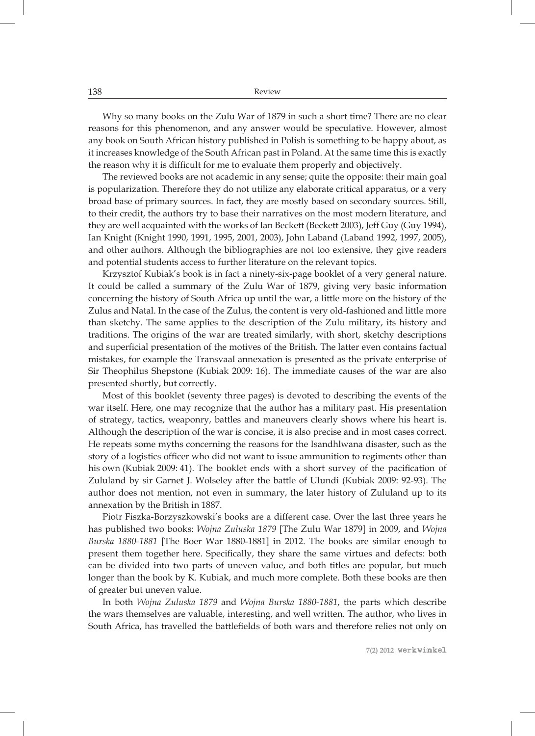138 Review

Why so many books on the Zulu War of 1879 in such a short time? There are no clear reasons for this phenomenon, and any answer would be speculative. However, almost any book on South African history published in Polish is something to be happy about, as it increases knowledge of the South African past in Poland. At the same time this is exactly the reason why it is difficult for me to evaluate them properly and objectively.

The reviewed books are not academic in any sense; quite the opposite: their main goal is popularization. Therefore they do not utilize any elaborate critical apparatus, or a very broad base of primary sources. In fact, they are mostly based on secondary sources. Still, to their credit, the authors try to base their narratives on the most modern literature, and they are well acquainted with the works of Ian Beckett (Beckett 2003), Jeff Guy (Guy 1994), Ian Knight (Knight 1990, 1991, 1995, 2001, 2003), John Laband (Laband 1992, 1997, 2005), and other authors. Although the bibliographies are not too extensive, they give readers and potential students access to further literature on the relevant topics.

Krzysztof Kubiak's book is in fact a ninety-six-page booklet of a very general nature. It could be called a summary of the Zulu War of 1879, giving very basic information concerning the history of South Africa up until the war, a little more on the history of the Zulus and Natal. In the case of the Zulus, the content is very old-fashioned and little more than sketchy. The same applies to the description of the Zulu military, its history and traditions. The origins of the war are treated similarly, with short, sketchy descriptions and superficial presentation of the motives of the British. The latter even contains factual mistakes, for example the Transvaal annexation is presented as the private enterprise of Sir Theophilus Shepstone (Kubiak 2009: 16). The immediate causes of the war are also presented shortly, but correctly.

Most of this booklet (seventy three pages) is devoted to describing the events of the war itself. Here, one may recognize that the author has a military past. His presentation of strategy, tactics, weaponry, battles and maneuvers clearly shows where his heart is. Although the description of the war is concise, it is also precise and in most cases correct. He repeats some myths concerning the reasons for the Isandhlwana disaster, such as the story of a logistics officer who did not want to issue ammunition to regiments other than his own (Kubiak 2009: 41). The booklet ends with a short survey of the pacification of Zululand by sir Garnet J. Wolseley after the battle of Ulundi (Kubiak 2009: 92-93). The author does not mention, not even in summary, the later history of Zululand up to its annexation by the British in 1887.

Piotr Fiszka-Borzyszkowski's books are a different case. Over the last three years he has published two books: *Wojna Zuluska 1879* [The Zulu War 1879] in 2009, and *Wojna Burska 1880-1881* [The Boer War 1880-1881] in 2012. The books are similar enough to present them together here. Specifically, they share the same virtues and defects: both can be divided into two parts of uneven value, and both titles are popular, but much longer than the book by K. Kubiak, and much more complete. Both these books are then of greater but uneven value.

In both *Wojna Zuluska 1879* and *Wojna Burska 1880-1881*, the parts which describe the wars themselves are valuable, interesting, and well written. The author, who lives in South Africa, has travelled the battlefields of both wars and therefore relies not only on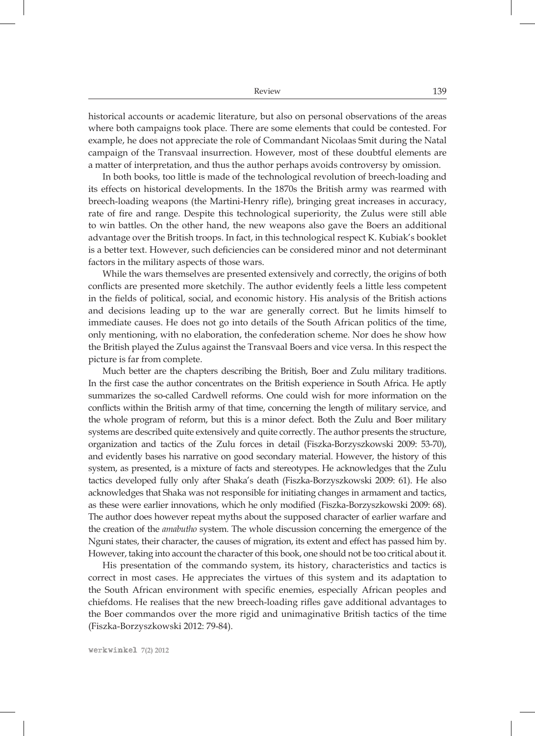historical accounts or academic literature, but also on personal observations of the areas where both campaigns took place. There are some elements that could be contested. For example, he does not appreciate the role of Commandant Nicolaas Smit during the Natal campaign of the Transvaal insurrection. However, most of these doubtful elements are a matter of interpretation, and thus the author perhaps avoids controversy by omission.

In both books, too little is made of the technological revolution of breech-loading and its effects on historical developments. In the 1870s the British army was rearmed with breech-loading weapons (the Martini-Henry rifle), bringing great increases in accuracy, rate of fire and range. Despite this technological superiority, the Zulus were still able to win battles. On the other hand, the new weapons also gave the Boers an additional advantage over the British troops. In fact, in this technological respect K. Kubiak's booklet is a better text. However, such deficiencies can be considered minor and not determinant factors in the military aspects of those wars.

While the wars themselves are presented extensively and correctly, the origins of both conflicts are presented more sketchily. The author evidently feels a little less competent in the fields of political, social, and economic history. His analysis of the British actions and decisions leading up to the war are generally correct. But he limits himself to immediate causes. He does not go into details of the South African politics of the time, only mentioning, with no elaboration, the confederation scheme. Nor does he show how the British played the Zulus against the Transvaal Boers and vice versa. In this respect the picture is far from complete.

Much better are the chapters describing the British, Boer and Zulu military traditions. In the first case the author concentrates on the British experience in South Africa. He aptly summarizes the so-called Cardwell reforms. One could wish for more information on the conflicts within the British army of that time, concerning the length of military service, and the whole program of reform, but this is a minor defect. Both the Zulu and Boer military systems are described quite extensively and quite correctly. The author presents the structure, organization and tactics of the Zulu forces in detail (Fiszka-Borzyszkowski 2009: 53-70), and evidently bases his narrative on good secondary material. However, the history of this system, as presented, is a mixture of facts and stereotypes. He acknowledges that the Zulu tactics developed fully only after Shaka's death (Fiszka-Borzyszkowski 2009: 61). He also acknowledges that Shaka was not responsible for initiating changes in armament and tactics, as these were earlier innovations, which he only modified (Fiszka-Borzyszkowski 2009: 68). The author does however repeat myths about the supposed character of earlier warfare and the creation of the *amabutho* system. The whole discussion concerning the emergence of the Nguni states, their character, the causes of migration, its extent and effect has passed him by. However, taking into account the character of this book, one should not be too critical about it.

His presentation of the commando system, its history, characteristics and tactics is correct in most cases. He appreciates the virtues of this system and its adaptation to the South African environment with specific enemies, especially African peoples and chiefdoms. He realises that the new breech-loading rifles gave additional advantages to the Boer commandos over the more rigid and unimaginative British tactics of the time (Fiszka-Borzyszkowski 2012: 79-84).

werkwinkel **7(2) 2012**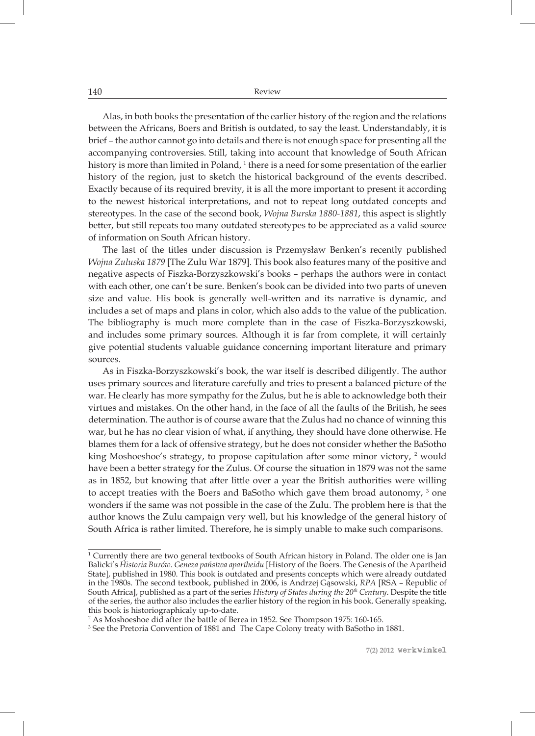Alas, in both books the presentation of the earlier history of the region and the relations between the Africans, Boers and British is outdated, to say the least. Understandably, it is brief – the author cannot go into details and there is not enough space for presenting all the accompanying controversies. Still, taking into account that knowledge of South African history is more than limited in Poland,  $1$  there is a need for some presentation of the earlier history of the region, just to sketch the historical background of the events described. Exactly because of its required brevity, it is all the more important to present it according to the newest historical interpretations, and not to repeat long outdated concepts and stereotypes. In the case of the second book, *Wojna Burska 1880-1881*, this aspect is slightly better, but still repeats too many outdated stereotypes to be appreciated as a valid source of information on South African history.

The last of the titles under discussion is Przemysław Benken's recently published *Wojna Zuluska 1879* [The Zulu War 1879]. This book also features many of the positive and negative aspects of Fiszka-Borzyszkowski's books – perhaps the authors were in contact with each other, one can't be sure. Benken's book can be divided into two parts of uneven size and value. His book is generally well-written and its narrative is dynamic, and includes a set of maps and plans in color, which also adds to the value of the publication. The bibliography is much more complete than in the case of Fiszka-Borzyszkowski, and includes some primary sources. Although it is far from complete, it will certainly give potential students valuable guidance concerning important literature and primary sources.

As in Fiszka-Borzyszkowski's book, the war itself is described diligently. The author uses primary sources and literature carefully and tries to present a balanced picture of the war. He clearly has more sympathy for the Zulus, but he is able to acknowledge both their virtues and mistakes. On the other hand, in the face of all the faults of the British, he sees determination. The author is of course aware that the Zulus had no chance of winning this war, but he has no clear vision of what, if anything, they should have done otherwise. He blames them for a lack of offensive strategy, but he does not consider whether the BaSotho king Moshoeshoe's strategy, to propose capitulation after some minor victory, <sup>2</sup> would have been a better strategy for the Zulus. Of course the situation in 1879 was not the same as in 1852, but knowing that after little over a year the British authorities were willing to accept treaties with the Boers and BaSotho which gave them broad autonomy, 3 one wonders if the same was not possible in the case of the Zulu. The problem here is that the author knows the Zulu campaign very well, but his knowledge of the general history of South Africa is rather limited. Therefore, he is simply unable to make such comparisons.

2 As Moshoeshoe did after the battle of Berea in 1852. See Thompson 1975: 160-165.

3 See the Pretoria Convention of 1881 and The Cape Colony treaty with BaSotho in 1881.

<sup>1</sup> Currently there are two general textbooks of South African history in Poland. The older one is Jan Balicki's *Historia Burów. Geneza państwa apartheidu* [History of the Boers. The Genesis of the Apartheid State], published in 1980. This book is outdated and presents concepts which were already outdated in the 1980s. The second textbook, published in 2006, is Andrzej Gąsowski, *RPA* [RSA – Republic of South Africa], published as a part of the series *History of States during the 20th Century*. Despite the title of the series, the author also includes the earlier history of the region in his book. Generally speaking, this book is historiographicaly up-to-date.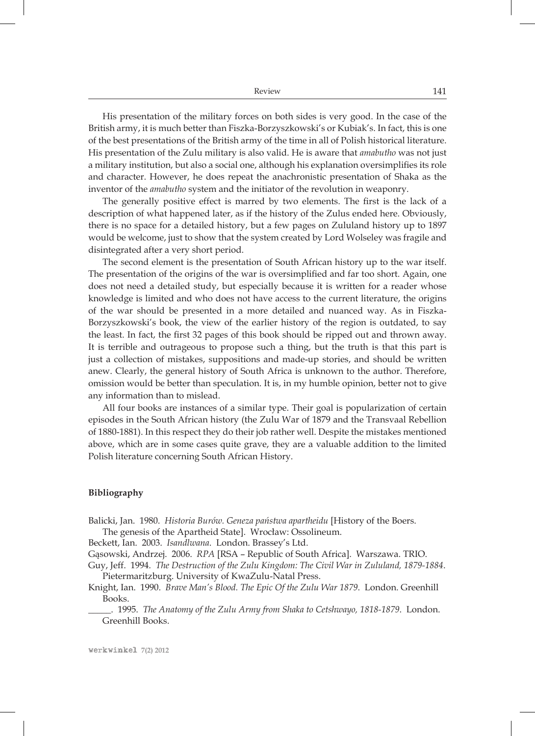| Review | 141 |
|--------|-----|
|        |     |

His presentation of the military forces on both sides is very good. In the case of the British army, it is much better than Fiszka-Borzyszkowski's or Kubiak's. In fact, this is one of the best presentations of the British army of the time in all of Polish historical literature. His presentation of the Zulu military is also valid. He is aware that *amabutho* was not just a military institution, but also a social one, although his explanation oversimplifies its role and character. However, he does repeat the anachronistic presentation of Shaka as the inventor of the *amabutho* system and the initiator of the revolution in weaponry.

The generally positive effect is marred by two elements. The first is the lack of a description of what happened later, as if the history of the Zulus ended here. Obviously, there is no space for a detailed history, but a few pages on Zululand history up to 1897 would be welcome, just to show that the system created by Lord Wolseley was fragile and disintegrated after a very short period.

The second element is the presentation of South African history up to the war itself. The presentation of the origins of the war is oversimplified and far too short. Again, one does not need a detailed study, but especially because it is written for a reader whose knowledge is limited and who does not have access to the current literature, the origins of the war should be presented in a more detailed and nuanced way. As in Fiszka-Borzyszkowski's book, the view of the earlier history of the region is outdated, to say the least. In fact, the first 32 pages of this book should be ripped out and thrown away. It is terrible and outrageous to propose such a thing, but the truth is that this part is just a collection of mistakes, suppositions and made-up stories, and should be written anew. Clearly, the general history of South Africa is unknown to the author. Therefore, omission would be better than speculation. It is, in my humble opinion, better not to give any information than to mislead.

All four books are instances of a similar type. Their goal is popularization of certain episodes in the South African history (the Zulu War of 1879 and the Transvaal Rebellion of 1880-1881). In this respect they do their job rather well. Despite the mistakes mentioned above, which are in some cases quite grave, they are a valuable addition to the limited Polish literature concerning South African History.

#### **Bibliography**

Balicki, Jan. 1980. *Historia Burów. Geneza państwa apartheidu* [History of the Boers.

The genesis of the Apartheid State]. Wrocław: Ossolineum.

Beckett, Ian. 2003. *Isandlwana*. London. Brassey's Ltd.

Gąsowski, Andrzej. 2006. *RPA* [RSA – Republic of South Africa]. Warszawa. TRIO.

Guy, Jeff. 1994. *The Destruction of the Zulu Kingdom: The Civil War in Zululand, 1879-1884*. Pietermaritzburg. University of KwaZulu-Natal Press.

Knight, Ian. 1990. *Brave Man's Blood. The Epic Of the Zulu War 1879*. London. Greenhill Books.

\_\_\_\_\_. 1995. *The Anatomy of the Zulu Army from Shaka to Cetshwayo, 1818-1879*. London. Greenhill Books.